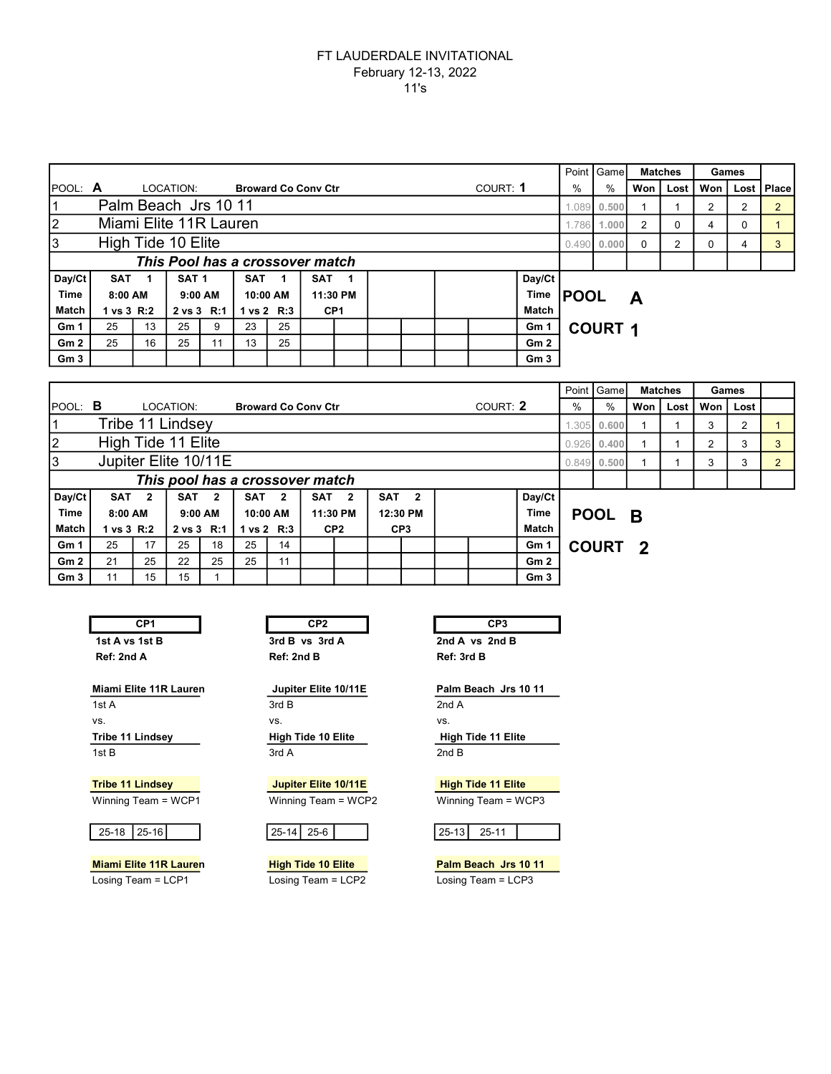## FT LAUDERDALE INVITATIONAL February 12-13, 2022 11's

|                                          |                                              |    |                  |    |            |                       |                                 |     |  |      |                  |                 |                | Point Game     |     | <b>Matches</b> |                | Games |              |
|------------------------------------------|----------------------------------------------|----|------------------|----|------------|-----------------------|---------------------------------|-----|--|------|------------------|-----------------|----------------|----------------|-----|----------------|----------------|-------|--------------|
| POOL: A                                  |                                              |    | LOCATION:        |    |            |                       | <b>Broward Co Conv Ctr</b>      |     |  |      | COURT: 1         |                 | %              | %              | Won | Lost I         | Won            |       | Lost   Place |
| Palm Beach Jrs 10 11                     |                                              |    |                  |    |            |                       |                                 |     |  |      | .089             | 0.500           |                |                | 2   | 2              | $\overline{2}$ |       |              |
| $\overline{2}$<br>Miami Elite 11R Lauren |                                              |    |                  |    |            |                       |                                 |     |  |      | 1.786            | 1.000           | $\overline{2}$ | $\Omega$       | 4   | 0              |                |       |              |
| High Tide 10 Elite<br>3                  |                                              |    |                  |    |            |                       |                                 |     |  |      | 0.490            | 0.000           | $\Omega$       | 2              | 0   | 4              | 3              |       |              |
|                                          |                                              |    |                  |    |            |                       | This Pool has a crossover match |     |  |      |                  |                 |                |                |     |                |                |       |              |
| Day/Ct                                   | SAT <sub>1</sub>                             |    | SAT <sub>1</sub> |    | <b>SAT</b> |                       | SAT                             | - 1 |  |      |                  | Day/Ct          |                |                |     |                |                |       |              |
| <b>Time</b>                              | 8:00 AM<br>$9:00$ AM<br>10:00 AM<br>11:30 PM |    |                  |    |            |                       |                                 |     |  | Time | <b>POOL</b><br>A |                 |                |                |     |                |                |       |              |
| <b>Match</b>                             | 1 vs 3 R:2                                   |    | 2 vs 3 R:1       |    |            | $1 \text{ vs } 2$ R:3 | CP <sub>1</sub>                 |     |  |      |                  | <b>Match</b>    |                |                |     |                |                |       |              |
| Gm <sub>1</sub>                          | 25                                           | 13 | 25               | 9  | 23         | 25                    |                                 |     |  |      |                  | Gm 1            |                | <b>COURT 1</b> |     |                |                |       |              |
| Gm2                                      | 25                                           | 16 | 25               | 11 | 13         | 25                    |                                 |     |  |      |                  | Gm2             |                |                |     |                |                |       |              |
| Gm <sub>3</sub>                          |                                              |    |                  |    |            |                       |                                 |     |  |      |                  | Gm <sub>3</sub> |                |                |     |                |                |       |              |

|                 |                                 |                  |                  |     |                            |                         |     |                 |            |                         |  |          |              |       | Point   Game  |                         | <b>Matches</b> |     | Games          |   |
|-----------------|---------------------------------|------------------|------------------|-----|----------------------------|-------------------------|-----|-----------------|------------|-------------------------|--|----------|--------------|-------|---------------|-------------------------|----------------|-----|----------------|---|
| $I$ POOL: $B$   |                                 |                  | LOCATION:        |     | <b>Broward Co Conv Ctr</b> |                         |     |                 |            |                         |  | COURT: 2 |              | $\%$  | %             | Won                     | Lost I         | Won | Lost           |   |
|                 |                                 |                  | Tribe 11 Lindsey |     |                            |                         |     |                 |            |                         |  |          |              | 1.305 | 0.600         |                         |                | 3   | $\overline{2}$ |   |
| 12              | High Tide 11 Elite              |                  |                  |     |                            |                         |     |                 |            |                         |  |          |              | 0.926 | 0.400         |                         |                | 2   | 3              | 3 |
| Iз              | Jupiter Elite 10/11E            |                  |                  |     |                            |                         |     |                 |            |                         |  |          |              |       | $0.849$ 0.500 |                         |                | 3   | 3              |   |
|                 | This pool has a crossover match |                  |                  |     |                            |                         |     |                 |            |                         |  |          |              |       |               |                         |                |     |                |   |
| Day/Ct          |                                 | SAT <sub>2</sub> | SAT              | - 2 | <b>SAT</b>                 | $\overline{\mathbf{2}}$ | SAT | $\overline{2}$  | <b>SAT</b> | $\overline{\mathbf{2}}$ |  |          | Day/Ct       |       |               |                         |                |     |                |   |
| <b>Time</b>     | 8:00 AM                         |                  | $9:00$ AM        |     | 10:00 AM                   |                         |     | 11:30 PM        | 12:30 PM   |                         |  |          | <b>Time</b>  |       | POOL B        |                         |                |     |                |   |
| <b>Match</b>    | 1 vs 3 R:2                      |                  | 2 vs 3 R:1       |     |                            | 1 vs $2$ R:3            |     | CP <sub>2</sub> |            | CP <sub>3</sub>         |  |          | <b>Match</b> |       |               |                         |                |     |                |   |
| Gm <sub>1</sub> | 25                              | 17               | 25               | 18  | 25                         | 14                      |     |                 |            |                         |  |          | Gm 1         |       | <b>COURT</b>  | $\overline{\mathbf{2}}$ |                |     |                |   |
| Gm2             | 21                              | 25               | 22               | 25  | 25                         | 11                      |     |                 |            |                         |  |          | Gm2          |       |               |                         |                |     |                |   |

| CP1            |
|----------------|
| 1st A vs 1st B |
| Ref: 2nd A     |

Miami Elite 11R Lauren Jupiter Elite 10/11E Palm Beach Jrs 10 11 1st A 2nd A vs. vs. vs. Tribe 11 Lindsey **High Tide 10 Elite** High Tide 11 Elite 1st B 3rd A 2nd B

Winning Team = WCP1 Winning Team = WCP2 Winning Team = WCP3

25-18 25-16 25-14 25-6

1st CP2 CP3 CP3 3rd B vs 3rd A 2nd A vs 2nd B Ref: 2nd B Ref: 3rd B CP1 CP2 CP2 CP3

Gm 3 11 15 15 1 Gm 3

Tribe 11 Lindsey **Tribe 11 Lindsey** Jupiter Elite 10/11E **High Tide 11 Elite** 

| L<br>. OF<br>- 10.<br>- - ה- |  |  |
|------------------------------|--|--|
|------------------------------|--|--|

Miami Elite 11R Lauren **High Tide 10 Elite** Palm Beach Jrs 10 11 Losing Team = LCP1 Losing Team = LCP2 Losing Team = LCP3